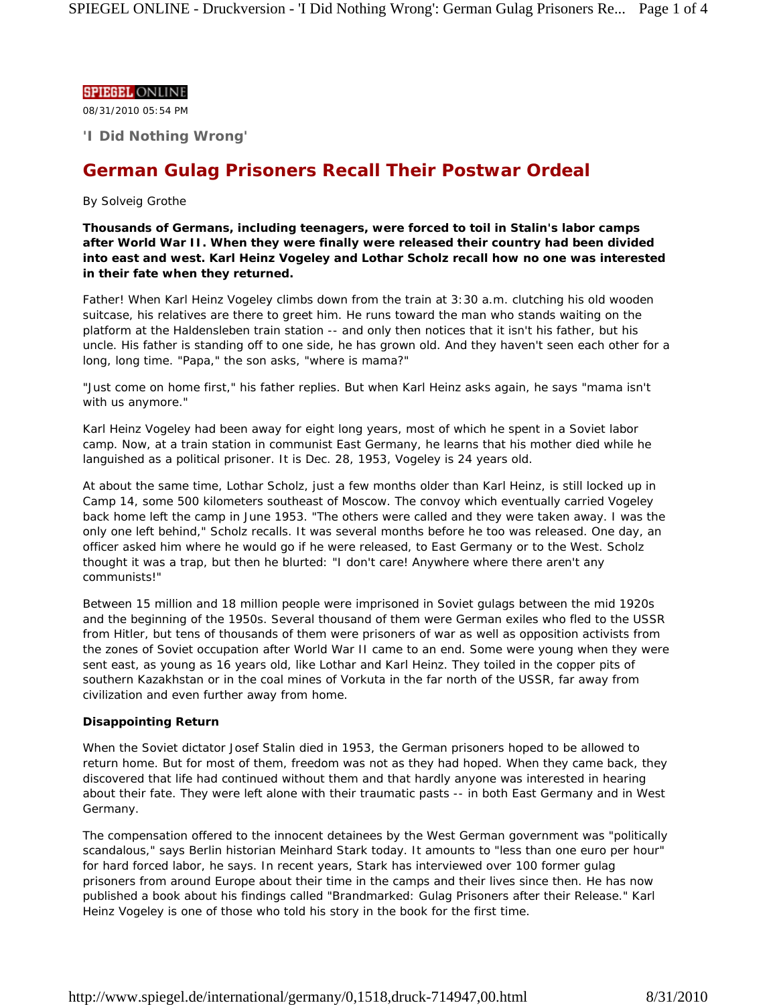### **SPIEGEL ONLINE**

08/31/2010 05:54 PM

**'I Did Nothing Wrong'**

# **German Gulag Prisoners Recall Their Postwar Ordeal**

## *By Solveig Grothe*

**Thousands of Germans, including teenagers, were forced to toil in Stalin's labor camps after World War II. When they were finally were released their country had been divided into east and west. Karl Heinz Vogeley and Lothar Scholz recall how no one was interested in their fate when they returned.**

Father! When Karl Heinz Vogeley climbs down from the train at 3:30 a.m. clutching his old wooden suitcase, his relatives are there to greet him. He runs toward the man who stands waiting on the platform at the Haldensleben train station -- and only then notices that it isn't his father, but his uncle. His father is standing off to one side, he has grown old. And they haven't seen each other for a long, long time. "Papa," the son asks, "where is mama?"

"Just come on home first," his father replies. But when Karl Heinz asks again, he says "mama isn't with us anymore."

Karl Heinz Vogeley had been away for eight long years, most of which he spent in a Soviet labor camp. Now, at a train station in communist East Germany, he learns that his mother died while he languished as a political prisoner. It is Dec. 28, 1953, Vogeley is 24 years old.

At about the same time, Lothar Scholz, just a few months older than Karl Heinz, is still locked up in Camp 14, some 500 kilometers southeast of Moscow. The convoy which eventually carried Vogeley back home left the camp in June 1953. "The others were called and they were taken away. I was the only one left behind," Scholz recalls. It was several months before he too was released. One day, an officer asked him where he would go if he were released, to East Germany or to the West. Scholz thought it was a trap, but then he blurted: "I don't care! Anywhere where there aren't any communists!"

Between 15 million and 18 million people were imprisoned in Soviet gulags between the mid 1920s and the beginning of the 1950s. Several thousand of them were German exiles who fled to the USSR from Hitler, but tens of thousands of them were prisoners of war as well as opposition activists from the zones of Soviet occupation after World War II came to an end. Some were young when they were sent east, as young as 16 years old, like Lothar and Karl Heinz. They toiled in the copper pits of southern Kazakhstan or in the coal mines of Vorkuta in the far north of the USSR, far away from civilization and even further away from home.

#### **Disappointing Return**

When the Soviet dictator Josef Stalin died in 1953, the German prisoners hoped to be allowed to return home. But for most of them, freedom was not as they had hoped. When they came back, they discovered that life had continued without them and that hardly anyone was interested in hearing about their fate. They were left alone with their traumatic pasts -- in both East Germany and in West Germany.

The compensation offered to the innocent detainees by the West German government was "politically scandalous," says Berlin historian Meinhard Stark today. It amounts to "less than one euro per hour" for hard forced labor, he says. In recent years, Stark has interviewed over 100 former gulag prisoners from around Europe about their time in the camps and their lives since then. He has now published a book about his findings called "Brandmarked: Gulag Prisoners after their Release." Karl Heinz Vogeley is one of those who told his story in the book for the first time.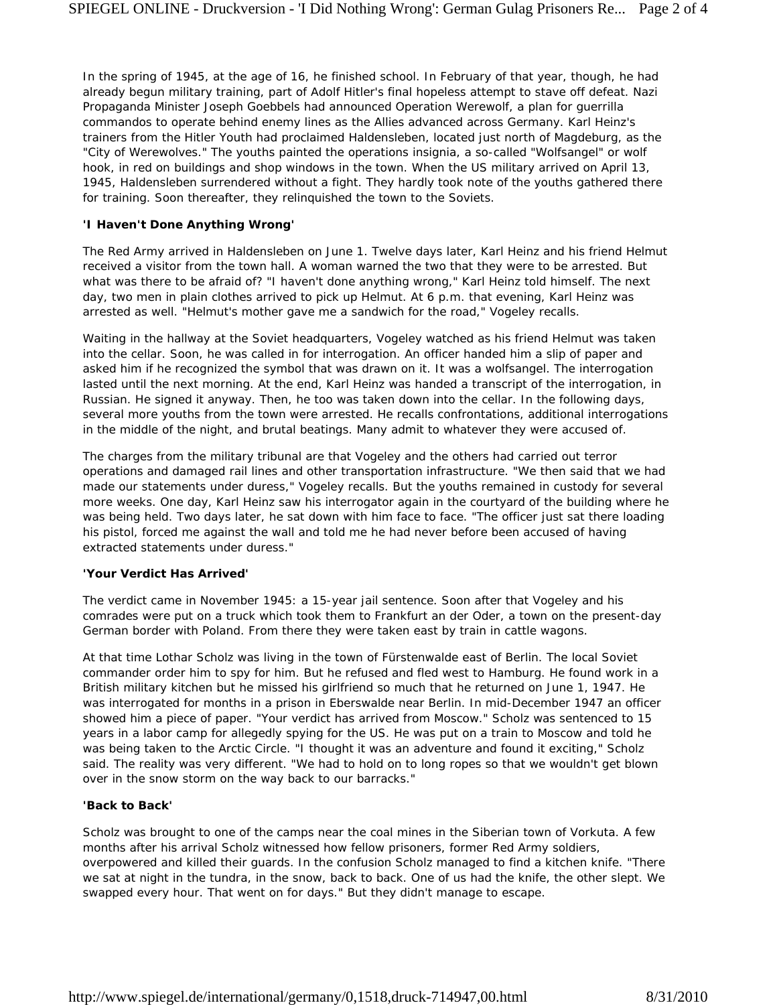In the spring of 1945, at the age of 16, he finished school. In February of that year, though, he had already begun military training, part of Adolf Hitler's final hopeless attempt to stave off defeat. Nazi Propaganda Minister Joseph Goebbels had announced Operation Werewolf, a plan for guerrilla commandos to operate behind enemy lines as the Allies advanced across Germany. Karl Heinz's trainers from the Hitler Youth had proclaimed Haldensleben, located just north of Magdeburg, as the "City of Werewolves." The youths painted the operations insignia, a so-called "Wolfsangel" or wolf hook, in red on buildings and shop windows in the town. When the US military arrived on April 13, 1945, Haldensleben surrendered without a fight. They hardly took note of the youths gathered there for training. Soon thereafter, they relinquished the town to the Soviets.

## **'I Haven't Done Anything Wrong'**

The Red Army arrived in Haldensleben on June 1. Twelve days later, Karl Heinz and his friend Helmut received a visitor from the town hall. A woman warned the two that they were to be arrested. But what was there to be afraid of? "I haven't done anything wrong," Karl Heinz told himself. The next day, two men in plain clothes arrived to pick up Helmut. At 6 p.m. that evening, Karl Heinz was arrested as well. "Helmut's mother gave me a sandwich for the road," Vogeley recalls.

Waiting in the hallway at the Soviet headquarters, Vogeley watched as his friend Helmut was taken into the cellar. Soon, he was called in for interrogation. An officer handed him a slip of paper and asked him if he recognized the symbol that was drawn on it. It was a wolfsangel. The interrogation lasted until the next morning. At the end, Karl Heinz was handed a transcript of the interrogation, in Russian. He signed it anyway. Then, he too was taken down into the cellar. In the following days, several more youths from the town were arrested. He recalls confrontations, additional interrogations in the middle of the night, and brutal beatings. Many admit to whatever they were accused of.

The charges from the military tribunal are that Vogeley and the others had carried out terror operations and damaged rail lines and other transportation infrastructure. "We then said that we had made our statements under duress," Vogeley recalls. But the youths remained in custody for several more weeks. One day, Karl Heinz saw his interrogator again in the courtyard of the building where he was being held. Two days later, he sat down with him face to face. "The officer just sat there loading his pistol, forced me against the wall and told me he had never before been accused of having extracted statements under duress."

#### **'Your Verdict Has Arrived'**

The verdict came in November 1945: a 15-year jail sentence. Soon after that Vogeley and his comrades were put on a truck which took them to Frankfurt an der Oder, a town on the present-day German border with Poland. From there they were taken east by train in cattle wagons.

At that time Lothar Scholz was living in the town of Fürstenwalde east of Berlin. The local Soviet commander order him to spy for him. But he refused and fled west to Hamburg. He found work in a British military kitchen but he missed his girlfriend so much that he returned on June 1, 1947. He was interrogated for months in a prison in Eberswalde near Berlin. In mid-December 1947 an officer showed him a piece of paper. "Your verdict has arrived from Moscow." Scholz was sentenced to 15 years in a labor camp for allegedly spying for the US. He was put on a train to Moscow and told he was being taken to the Arctic Circle. "I thought it was an adventure and found it exciting," Scholz said. The reality was very different. "We had to hold on to long ropes so that we wouldn't get blown over in the snow storm on the way back to our barracks."

#### **'Back to Back'**

Scholz was brought to one of the camps near the coal mines in the Siberian town of Vorkuta. A few months after his arrival Scholz witnessed how fellow prisoners, former Red Army soldiers, overpowered and killed their guards. In the confusion Scholz managed to find a kitchen knife. "There we sat at night in the tundra, in the snow, back to back. One of us had the knife, the other slept. We swapped every hour. That went on for days." But they didn't manage to escape.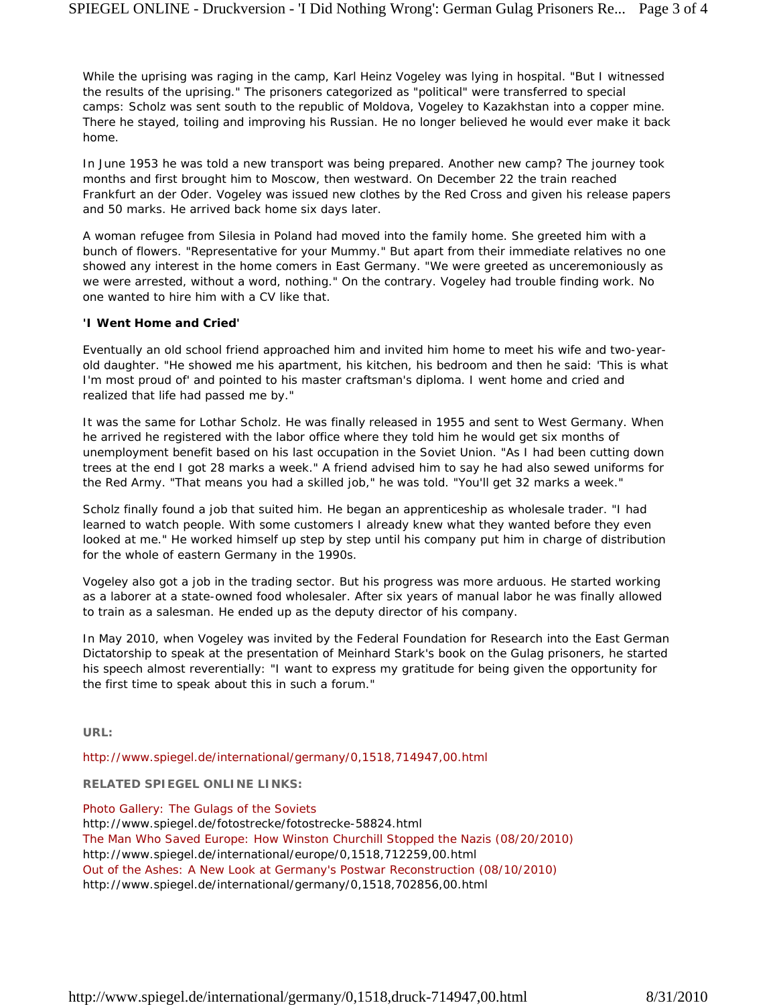While the uprising was raging in the camp, Karl Heinz Vogeley was lying in hospital. "But I witnessed the results of the uprising." The prisoners categorized as "political" were transferred to special camps: Scholz was sent south to the republic of Moldova, Vogeley to Kazakhstan into a copper mine. There he stayed, toiling and improving his Russian. He no longer believed he would ever make it back home.

In June 1953 he was told a new transport was being prepared. Another new camp? The journey took months and first brought him to Moscow, then westward. On December 22 the train reached Frankfurt an der Oder. Vogeley was issued new clothes by the Red Cross and given his release papers and 50 marks. He arrived back home six days later.

A woman refugee from Silesia in Poland had moved into the family home. She greeted him with a bunch of flowers. "Representative for your Mummy." But apart from their immediate relatives no one showed any interest in the home comers in East Germany. "We were greeted as unceremoniously as we were arrested, without a word, nothing." On the contrary. Vogeley had trouble finding work. No one wanted to hire him with a CV like that.

## **'I Went Home and Cried'**

Eventually an old school friend approached him and invited him home to meet his wife and two-yearold daughter. "He showed me his apartment, his kitchen, his bedroom and then he said: 'This is what I'm most proud of' and pointed to his master craftsman's diploma. I went home and cried and realized that life had passed me by."

It was the same for Lothar Scholz. He was finally released in 1955 and sent to West Germany. When he arrived he registered with the labor office where they told him he would get six months of unemployment benefit based on his last occupation in the Soviet Union. "As I had been cutting down trees at the end I got 28 marks a week." A friend advised him to say he had also sewed uniforms for the Red Army. "That means you had a skilled job," he was told. "You'll get 32 marks a week."

Scholz finally found a job that suited him. He began an apprenticeship as wholesale trader. "I had learned to watch people. With some customers I already knew what they wanted before they even looked at me." He worked himself up step by step until his company put him in charge of distribution for the whole of eastern Germany in the 1990s.

Vogeley also got a job in the trading sector. But his progress was more arduous. He started working as a laborer at a state-owned food wholesaler. After six years of manual labor he was finally allowed to train as a salesman. He ended up as the deputy director of his company.

In May 2010, when Vogeley was invited by the Federal Foundation for Research into the East German Dictatorship to speak at the presentation of Meinhard Stark's book on the Gulag prisoners, he started his speech almost reverentially: "I want to express my gratitude for being given the opportunity for the first time to speak about this in such a forum."

**URL:**

http://www.spiegel.de/international/germany/0,1518,714947,00.html

**RELATED SPIEGEL ONLINE LINKS:**

Photo Gallery: The Gulags of the Soviets

http://www.spiegel.de/fotostrecke/fotostrecke-58824.html The Man Who Saved Europe: How Winston Churchill Stopped the Nazis (08/20/2010) http://www.spiegel.de/international/europe/0,1518,712259,00.html Out of the Ashes: A New Look at Germany's Postwar Reconstruction (08/10/2010) http://www.spiegel.de/international/germany/0,1518,702856,00.html